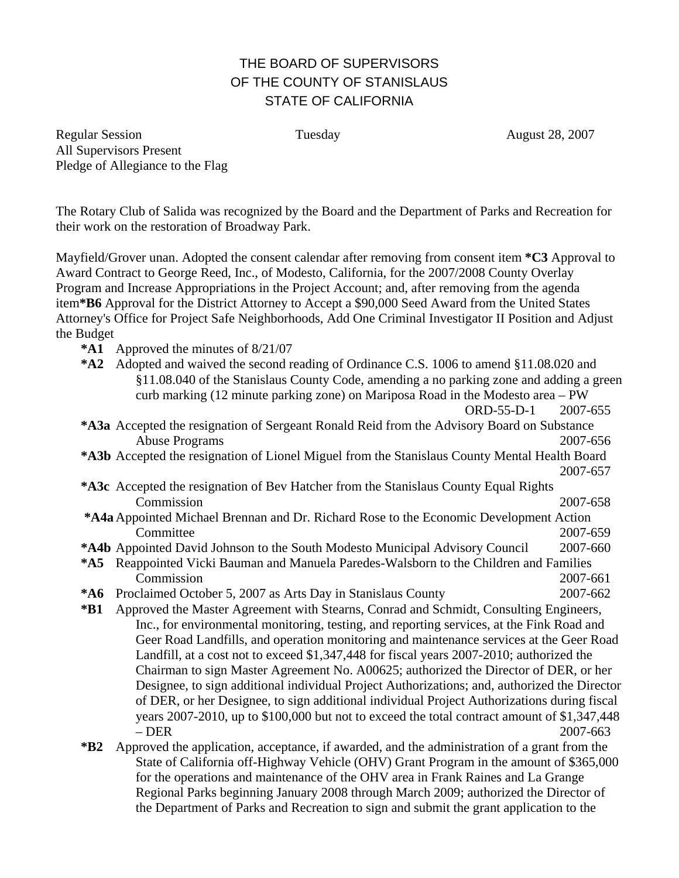# THE BOARD OF SUPERVISORS OF THE COUNTY OF STANISLAUS STATE OF CALIFORNIA

Regular Session **Tuesday CONFIDENT** Tuesday **August 28, 2007** All Supervisors Present Pledge of Allegiance to the Flag

The Rotary Club of Salida was recognized by the Board and the Department of Parks and Recreation for their work on the restoration of Broadway Park.

Mayfield/Grover unan. Adopted the consent calendar after removing from consent item **\*C3** Approval to Award Contract to George Reed, Inc., of Modesto, California, for the 2007/2008 County Overlay Program and Increase Appropriations in the Project Account; and, after removing from the agenda item**\*B6** Approval for the District Attorney to Accept a \$90,000 Seed Award from the United States Attorney's Office for Project Safe Neighborhoods, Add One Criminal Investigator II Position and Adjust the Budget

- **\*A1** Approved the minutes of 8/21/07
- **\*A2** Adopted and waived the second reading of Ordinance C.S. 1006 to amend §11.08.020 and §11.08.040 of the Stanislaus County Code, amending a no parking zone and adding a green curb marking (12 minute parking zone) on Mariposa Road in the Modesto area – PW ORD-55-D-1 2007-655 **\*A3a** Accepted the resignation of Sergeant Ronald Reid from the Advisory Board on Substance Abuse Programs 2007-656 **\*A3b** Accepted the resignation of Lionel Miguel from the Stanislaus County Mental Health Board 2007-657 **\*A3c** Accepted the resignation of Bev Hatcher from the Stanislaus County Equal Rights Commission 2007-658 **\*A4a** Appointed Michael Brennan and Dr. Richard Rose to the Economic Development Action Committee 2007-659 **\*A4b** Appointed David Johnson to the South Modesto Municipal Advisory Council 2007-660
- **\*A5** Reappointed Vicki Bauman and Manuela Paredes-Walsborn to the Children and Families
- Commission 2007-661 **\*A6** Proclaimed October 5, 2007 as Arts Day in Stanislaus County 2007-662
- **\*B1** Approved the Master Agreement with Stearns, Conrad and Schmidt, Consulting Engineers, Inc., for environmental monitoring, testing, and reporting services, at the Fink Road and Geer Road Landfills, and operation monitoring and maintenance services at the Geer Road Landfill, at a cost not to exceed \$1,347,448 for fiscal years 2007-2010; authorized the Chairman to sign Master Agreement No. A00625; authorized the Director of DER, or her Designee, to sign additional individual Project Authorizations; and, authorized the Director of DER, or her Designee, to sign additional individual Project Authorizations during fiscal years 2007-2010, up to \$100,000 but not to exceed the total contract amount of \$1,347,448 – DER 2007-663
- **\*B2** Approved the application, acceptance, if awarded, and the administration of a grant from the State of California off-Highway Vehicle (OHV) Grant Program in the amount of \$365,000 for the operations and maintenance of the OHV area in Frank Raines and La Grange Regional Parks beginning January 2008 through March 2009; authorized the Director of the Department of Parks and Recreation to sign and submit the grant application to the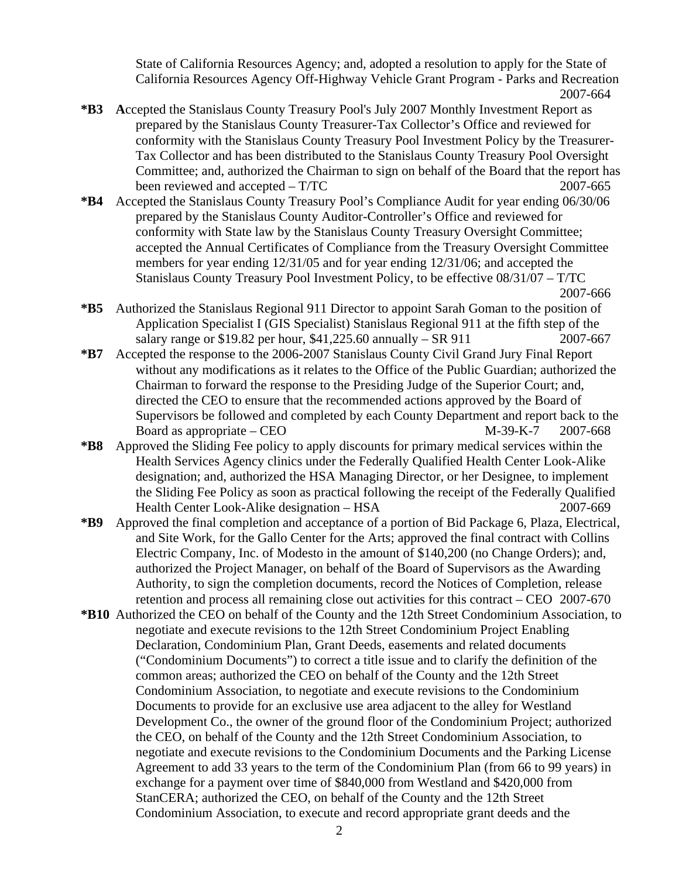State of California Resources Agency; and, adopted a resolution to apply for the State of California Resources Agency Off-Highway Vehicle Grant Program - Parks and Recreation 2007-664

- **\*B3 A**ccepted the Stanislaus County Treasury Pool's July 2007 Monthly Investment Report as prepared by the Stanislaus County Treasurer-Tax Collector's Office and reviewed for conformity with the Stanislaus County Treasury Pool Investment Policy by the Treasurer-Tax Collector and has been distributed to the Stanislaus County Treasury Pool Oversight Committee; and, authorized the Chairman to sign on behalf of the Board that the report has been reviewed and accepted – T/TC 2007-665
- **\*B4** Accepted the Stanislaus County Treasury Pool's Compliance Audit for year ending 06/30/06 prepared by the Stanislaus County Auditor-Controller's Office and reviewed for conformity with State law by the Stanislaus County Treasury Oversight Committee; accepted the Annual Certificates of Compliance from the Treasury Oversight Committee members for year ending 12/31/05 and for year ending 12/31/06; and accepted the Stanislaus County Treasury Pool Investment Policy, to be effective 08/31/07 – T/TC 2007-666
- **\*B5** Authorized the Stanislaus Regional 911 Director to appoint Sarah Goman to the position of Application Specialist I (GIS Specialist) Stanislaus Regional 911 at the fifth step of the salary range or \$19.82 per hour, \$41,225.60 annually – SR 911 2007-667
- **\*B7** Accepted the response to the 2006-2007 Stanislaus County Civil Grand Jury Final Report without any modifications as it relates to the Office of the Public Guardian; authorized the Chairman to forward the response to the Presiding Judge of the Superior Court; and, directed the CEO to ensure that the recommended actions approved by the Board of Supervisors be followed and completed by each County Department and report back to the Board as appropriate – CEO  $M-39-K-7$  2007-668
- **\*B8** Approved the Sliding Fee policy to apply discounts for primary medical services within the Health Services Agency clinics under the Federally Qualified Health Center Look-Alike designation; and, authorized the HSA Managing Director, or her Designee, to implement the Sliding Fee Policy as soon as practical following the receipt of the Federally Qualified Health Center Look-Alike designation – HSA 2007-669
- **\*B9** Approved the final completion and acceptance of a portion of Bid Package 6, Plaza, Electrical, and Site Work, for the Gallo Center for the Arts; approved the final contract with Collins Electric Company, Inc. of Modesto in the amount of \$140,200 (no Change Orders); and, authorized the Project Manager, on behalf of the Board of Supervisors as the Awarding Authority, to sign the completion documents, record the Notices of Completion, release retention and process all remaining close out activities for this contract – CEO 2007-670
- **\*B10** Authorized the CEO on behalf of the County and the 12th Street Condominium Association, to negotiate and execute revisions to the 12th Street Condominium Project Enabling Declaration, Condominium Plan, Grant Deeds, easements and related documents ("Condominium Documents") to correct a title issue and to clarify the definition of the common areas; authorized the CEO on behalf of the County and the 12th Street Condominium Association, to negotiate and execute revisions to the Condominium Documents to provide for an exclusive use area adjacent to the alley for Westland Development Co., the owner of the ground floor of the Condominium Project; authorized the CEO, on behalf of the County and the 12th Street Condominium Association, to negotiate and execute revisions to the Condominium Documents and the Parking License Agreement to add 33 years to the term of the Condominium Plan (from 66 to 99 years) in exchange for a payment over time of \$840,000 from Westland and \$420,000 from StanCERA; authorized the CEO, on behalf of the County and the 12th Street Condominium Association, to execute and record appropriate grant deeds and the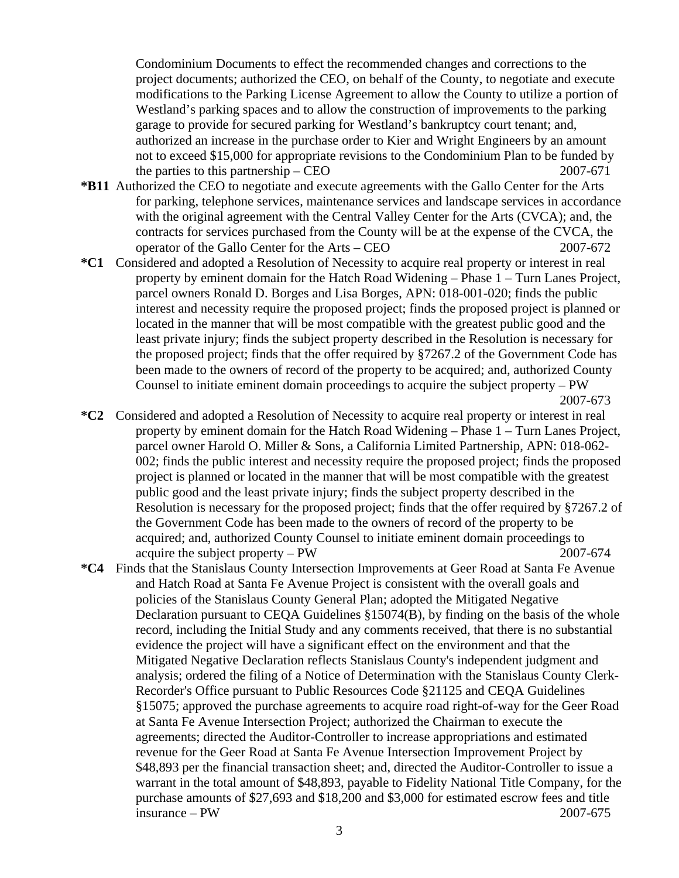Condominium Documents to effect the recommended changes and corrections to the project documents; authorized the CEO, on behalf of the County, to negotiate and execute modifications to the Parking License Agreement to allow the County to utilize a portion of Westland's parking spaces and to allow the construction of improvements to the parking garage to provide for secured parking for Westland's bankruptcy court tenant; and, authorized an increase in the purchase order to Kier and Wright Engineers by an amount not to exceed \$15,000 for appropriate revisions to the Condominium Plan to be funded by the parties to this partnership – CEO  $2007-671$ 

- **\*B11** Authorized the CEO to negotiate and execute agreements with the Gallo Center for the Arts for parking, telephone services, maintenance services and landscape services in accordance with the original agreement with the Central Valley Center for the Arts (CVCA); and, the contracts for services purchased from the County will be at the expense of the CVCA, the operator of the Gallo Center for the Arts – CEO 2007-672
- **\*C1** Considered and adopted a Resolution of Necessity to acquire real property or interest in real property by eminent domain for the Hatch Road Widening – Phase 1 – Turn Lanes Project, parcel owners Ronald D. Borges and Lisa Borges, APN: 018-001-020; finds the public interest and necessity require the proposed project; finds the proposed project is planned or located in the manner that will be most compatible with the greatest public good and the least private injury; finds the subject property described in the Resolution is necessary for the proposed project; finds that the offer required by §7267.2 of the Government Code has been made to the owners of record of the property to be acquired; and, authorized County Counsel to initiate eminent domain proceedings to acquire the subject property  $-PW$ 2007-673
- **\*C2** Considered and adopted a Resolution of Necessity to acquire real property or interest in real property by eminent domain for the Hatch Road Widening – Phase 1 – Turn Lanes Project, parcel owner Harold O. Miller & Sons, a California Limited Partnership, APN: 018-062- 002; finds the public interest and necessity require the proposed project; finds the proposed project is planned or located in the manner that will be most compatible with the greatest public good and the least private injury; finds the subject property described in the Resolution is necessary for the proposed project; finds that the offer required by §7267.2 of the Government Code has been made to the owners of record of the property to be acquired; and, authorized County Counsel to initiate eminent domain proceedings to acquire the subject property – PW 2007-674
- **\*C4** Finds that the Stanislaus County Intersection Improvements at Geer Road at Santa Fe Avenue and Hatch Road at Santa Fe Avenue Project is consistent with the overall goals and policies of the Stanislaus County General Plan; adopted the Mitigated Negative Declaration pursuant to CEQA Guidelines §15074(B), by finding on the basis of the whole record, including the Initial Study and any comments received, that there is no substantial evidence the project will have a significant effect on the environment and that the Mitigated Negative Declaration reflects Stanislaus County's independent judgment and analysis; ordered the filing of a Notice of Determination with the Stanislaus County Clerk-Recorder's Office pursuant to Public Resources Code §21125 and CEQA Guidelines §15075; approved the purchase agreements to acquire road right-of-way for the Geer Road at Santa Fe Avenue Intersection Project; authorized the Chairman to execute the agreements; directed the Auditor-Controller to increase appropriations and estimated revenue for the Geer Road at Santa Fe Avenue Intersection Improvement Project by \$48,893 per the financial transaction sheet; and, directed the Auditor-Controller to issue a warrant in the total amount of \$48,893, payable to Fidelity National Title Company, for the purchase amounts of \$27,693 and \$18,200 and \$3,000 for estimated escrow fees and title  $invance - PW$  2007-675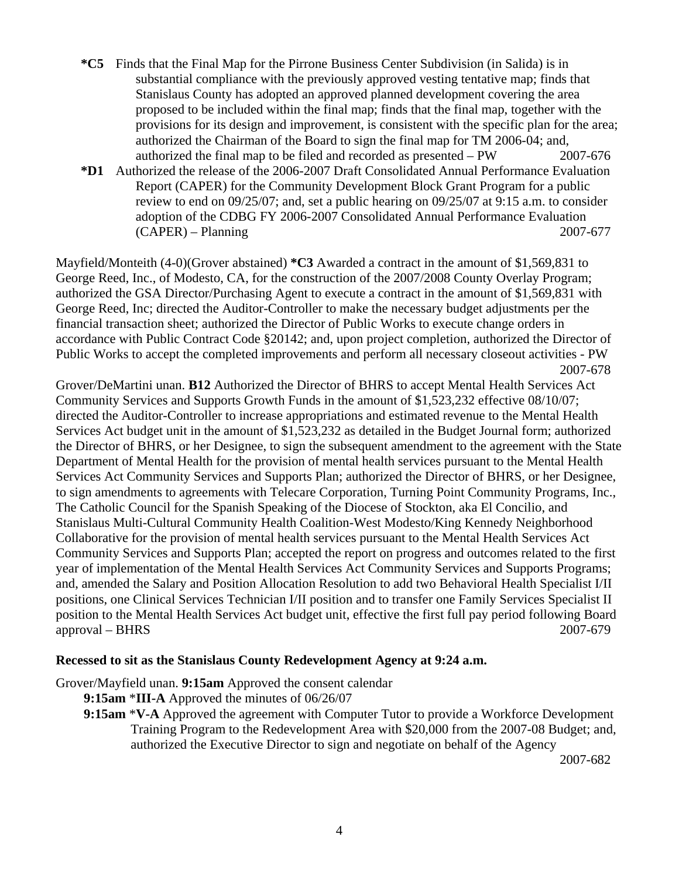- **\*C5** Finds that the Final Map for the Pirrone Business Center Subdivision (in Salida) is in substantial compliance with the previously approved vesting tentative map; finds that Stanislaus County has adopted an approved planned development covering the area proposed to be included within the final map; finds that the final map, together with the provisions for its design and improvement, is consistent with the specific plan for the area; authorized the Chairman of the Board to sign the final map for TM 2006-04; and, authorized the final map to be filed and recorded as presented – PW 2007-676
- **\*D1** Authorized the release of the 2006-2007 Draft Consolidated Annual Performance Evaluation Report (CAPER) for the Community Development Block Grant Program for a public review to end on 09/25/07; and, set a public hearing on 09/25/07 at 9:15 a.m. to consider adoption of the CDBG FY 2006-2007 Consolidated Annual Performance Evaluation (CAPER) – Planning 2007-677

Mayfield/Monteith (4-0)(Grover abstained) **\*C3** Awarded a contract in the amount of \$1,569,831 to George Reed, Inc., of Modesto, CA, for the construction of the 2007/2008 County Overlay Program; authorized the GSA Director/Purchasing Agent to execute a contract in the amount of \$1,569,831 with George Reed, Inc; directed the Auditor-Controller to make the necessary budget adjustments per the financial transaction sheet; authorized the Director of Public Works to execute change orders in accordance with Public Contract Code §20142; and, upon project completion, authorized the Director of Public Works to accept the completed improvements and perform all necessary closeout activities - PW 2007-678

Grover/DeMartini unan. **B12** Authorized the Director of BHRS to accept Mental Health Services Act Community Services and Supports Growth Funds in the amount of \$1,523,232 effective 08/10/07; directed the Auditor-Controller to increase appropriations and estimated revenue to the Mental Health Services Act budget unit in the amount of \$1,523,232 as detailed in the Budget Journal form; authorized the Director of BHRS, or her Designee, to sign the subsequent amendment to the agreement with the State Department of Mental Health for the provision of mental health services pursuant to the Mental Health Services Act Community Services and Supports Plan; authorized the Director of BHRS, or her Designee, to sign amendments to agreements with Telecare Corporation, Turning Point Community Programs, Inc., The Catholic Council for the Spanish Speaking of the Diocese of Stockton, aka El Concilio, and Stanislaus Multi-Cultural Community Health Coalition-West Modesto/King Kennedy Neighborhood Collaborative for the provision of mental health services pursuant to the Mental Health Services Act Community Services and Supports Plan; accepted the report on progress and outcomes related to the first year of implementation of the Mental Health Services Act Community Services and Supports Programs; and, amended the Salary and Position Allocation Resolution to add two Behavioral Health Specialist I/II positions, one Clinical Services Technician I/II position and to transfer one Family Services Specialist II position to the Mental Health Services Act budget unit, effective the first full pay period following Board approval – BHRS 2007-679

#### **Recessed to sit as the Stanislaus County Redevelopment Agency at 9:24 a.m.**

Grover/Mayfield unan. **9:15am** Approved the consent calendar

- **9:15am** \***III-A** Approved the minutes of 06/26/07
- **9:15am** \***V-A** Approved the agreement with Computer Tutor to provide a Workforce Development Training Program to the Redevelopment Area with \$20,000 from the 2007-08 Budget; and, authorized the Executive Director to sign and negotiate on behalf of the Agency

2007-682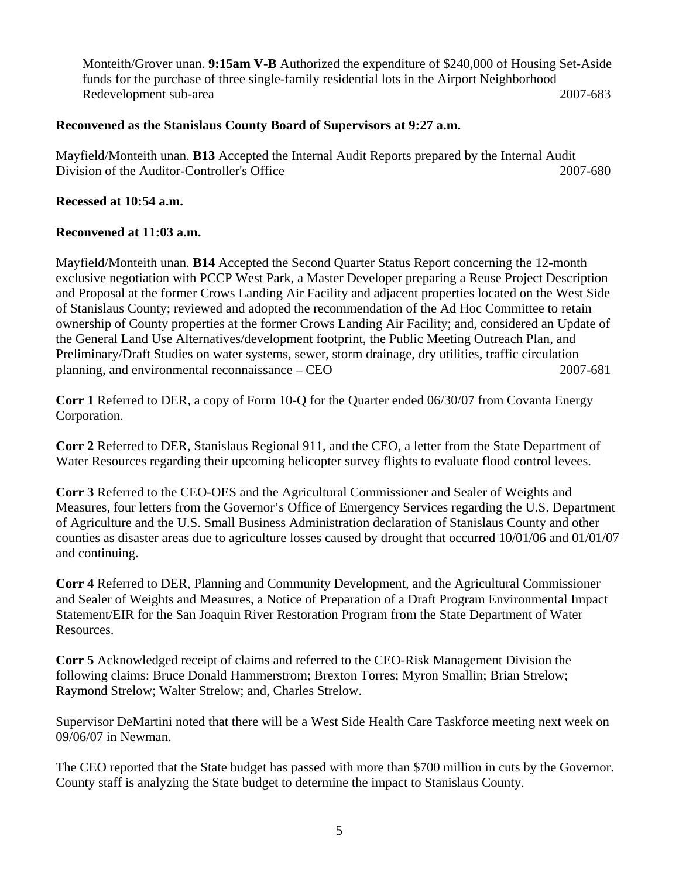Monteith/Grover unan. **9:15am V-B** Authorized the expenditure of \$240,000 of Housing Set-Aside funds for the purchase of three single-family residential lots in the Airport Neighborhood Redevelopment sub-area 2007-683

### **Reconvened as the Stanislaus County Board of Supervisors at 9:27 a.m.**

Mayfield/Monteith unan. **B13** Accepted the Internal Audit Reports prepared by the Internal Audit Division of the Auditor-Controller's Office 2007-680

# **Recessed at 10:54 a.m.**

# **Reconvened at 11:03 a.m.**

Mayfield/Monteith unan. **B14** Accepted the Second Quarter Status Report concerning the 12-month exclusive negotiation with PCCP West Park, a Master Developer preparing a Reuse Project Description and Proposal at the former Crows Landing Air Facility and adjacent properties located on the West Side of Stanislaus County; reviewed and adopted the recommendation of the Ad Hoc Committee to retain ownership of County properties at the former Crows Landing Air Facility; and, considered an Update of the General Land Use Alternatives/development footprint, the Public Meeting Outreach Plan, and Preliminary/Draft Studies on water systems, sewer, storm drainage, dry utilities, traffic circulation planning, and environmental reconnaissance – CEO 2007-681

**Corr 1** Referred to DER, a copy of Form 10-Q for the Quarter ended 06/30/07 from Covanta Energy Corporation.

**Corr 2** Referred to DER, Stanislaus Regional 911, and the CEO, a letter from the State Department of Water Resources regarding their upcoming helicopter survey flights to evaluate flood control levees.

**Corr 3** Referred to the CEO-OES and the Agricultural Commissioner and Sealer of Weights and Measures, four letters from the Governor's Office of Emergency Services regarding the U.S. Department of Agriculture and the U.S. Small Business Administration declaration of Stanislaus County and other counties as disaster areas due to agriculture losses caused by drought that occurred 10/01/06 and 01/01/07 and continuing.

**Corr 4** Referred to DER, Planning and Community Development, and the Agricultural Commissioner and Sealer of Weights and Measures, a Notice of Preparation of a Draft Program Environmental Impact Statement/EIR for the San Joaquin River Restoration Program from the State Department of Water Resources.

**Corr 5** Acknowledged receipt of claims and referred to the CEO-Risk Management Division the following claims: Bruce Donald Hammerstrom; Brexton Torres; Myron Smallin; Brian Strelow; Raymond Strelow; Walter Strelow; and, Charles Strelow.

Supervisor DeMartini noted that there will be a West Side Health Care Taskforce meeting next week on 09/06/07 in Newman.

The CEO reported that the State budget has passed with more than \$700 million in cuts by the Governor. County staff is analyzing the State budget to determine the impact to Stanislaus County.